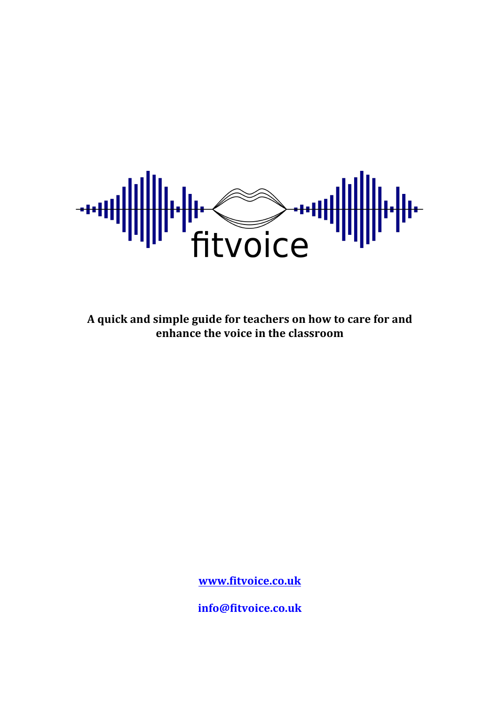

A quick and simple guide for teachers on how to care for and **enhance the voice in the classroom** 

**www.fitvoice.co.uk**

**info@fitvoice.co.uk**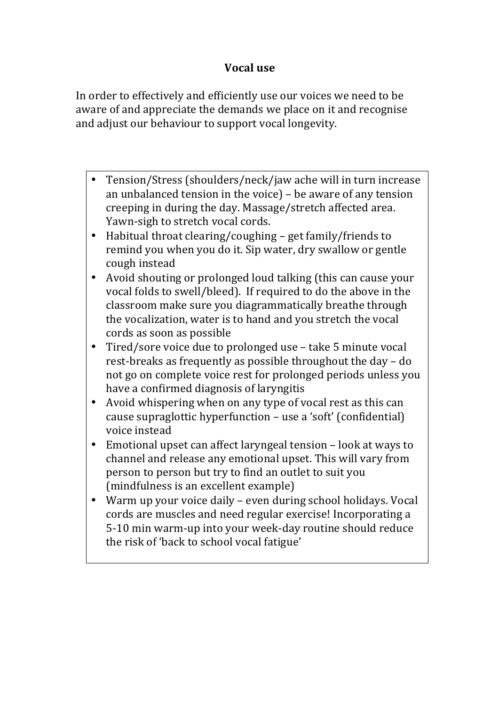## **Vocal use**

In order to effectively and efficiently use our voices we need to be aware of and appreciate the demands we place on it and recognise and adjust our behaviour to support vocal longevity.

- Tension/Stress (shoulders/neck/jaw ache will in turn increase an unbalanced tension in the voice)  $-$  be aware of any tension creeping in during the day. Massage/stretch affected area. Yawn-sigh to stretch vocal cords.
- Habitual throat clearing/coughing  $-$  get family/friends to remind you when you do it. Sip water, dry swallow or gentle cough instead
- Avoid shouting or prolonged loud talking (this can cause your vocal folds to swell/bleed). If required to do the above in the classroom make sure you diagrammatically breathe through the vocalization, water is to hand and you stretch the vocal cords as soon as possible
- Tired/sore voice due to prolonged use take 5 minute vocal rest-breaks as frequently as possible throughout the day  $-$  do not go on complete voice rest for prolonged periods unless you have a confirmed diagnosis of laryngitis
- Avoid whispering when on any type of vocal rest as this can cause supraglottic hyperfunction – use a 'soft' (confidential) voice instead
- Emotional upset can affect laryngeal tension look at ways to channel and release any emotional upset. This will vary from person to person but try to find an outlet to suit you (mindfulness is an excellent example)
- Warm up vour voice daily even during school holidays. Vocal cords are muscles and need regular exercise! Incorporating a 5-10 min warm-up into your week-day routine should reduce the risk of 'back to school vocal fatigue'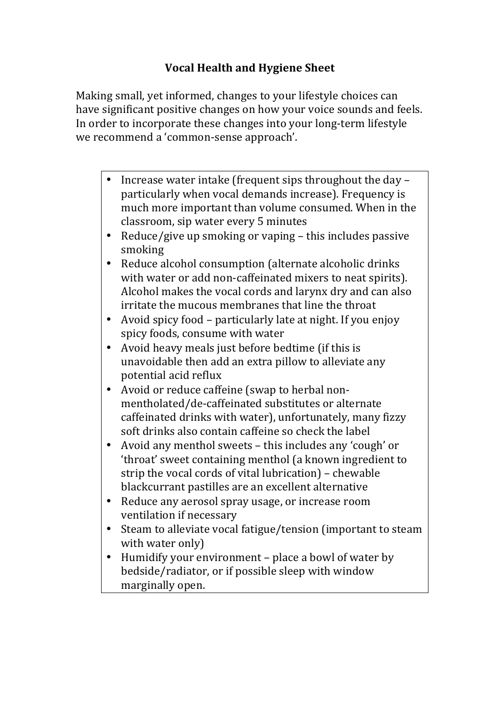# **Vocal Health and Hygiene Sheet**

Making small, yet informed, changes to your lifestyle choices can have significant positive changes on how your voice sounds and feels. In order to incorporate these changes into your long-term lifestyle we recommend a 'common-sense approach'.

- Increase water intake (frequent sips throughout the day particularly when vocal demands increase). Frequency is much more important than volume consumed. When in the classroom, sip water every 5 minutes
- Reduce/give up smoking or vaping  $-$  this includes passive smoking
- Reduce alcohol consumption (alternate alcoholic drinks) with water or add non-caffeinated mixers to neat spirits). Alcohol makes the vocal cords and larynx dry and can also irritate the mucous membranes that line the throat
- Avoid spicy food particularly late at night. If you enjoy spicy foods, consume with water
- Avoid heavy meals just before bedtime (if this is unavoidable then add an extra pillow to alleviate any potential acid reflux
- Avoid or reduce caffeine (swap to herbal nonmentholated/de-caffeinated substitutes or alternate caffeinated drinks with water), unfortunately, many fizzy soft drinks also contain caffeine so check the label
- Avoid any menthol sweets this includes any 'cough' or 'throat' sweet containing menthol (a known ingredient to strip the vocal cords of vital lubrication)  $-$  chewable blackcurrant pastilles are an excellent alternative
- Reduce any aerosol spray usage, or increase room ventilation if necessary
- Steam to alleviate vocal fatigue/tension (important to steam with water only)
- Humidify your environment place a bowl of water by bedside/radiator, or if possible sleep with window marginally open.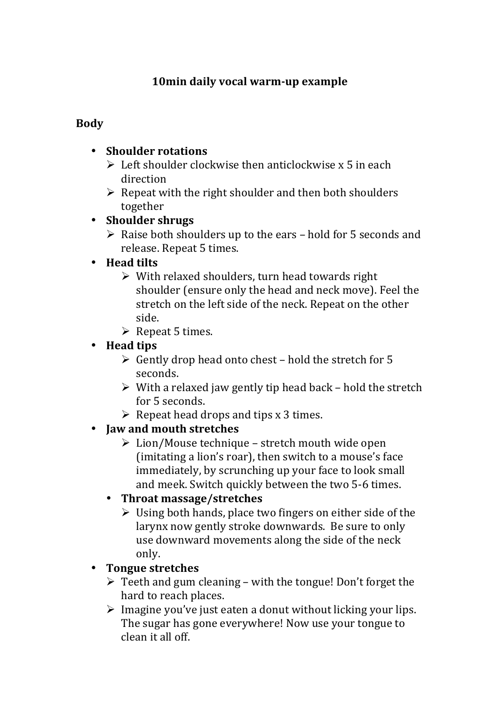# **10min daily vocal warm-up example**

#### **Body**

#### **•** Shoulder rotations

- $\triangleright$  Left shoulder clockwise then anticlockwise x 5 in each direction
- $\triangleright$  Repeat with the right shoulder and then both shoulders together

#### • **Shoulder shrugs**

 $\triangleright$  Raise both shoulders up to the ears – hold for 5 seconds and release. Repeat 5 times.

#### • **Head tilts**

- $\triangleright$  With relaxed shoulders, turn head towards right shoulder (ensure only the head and neck move). Feel the stretch on the left side of the neck. Repeat on the other side.
- $\triangleright$  Repeat 5 times.

## • **Head tips**

- $\triangleright$  Gently drop head onto chest hold the stretch for 5 seconds.
- $\triangleright$  With a relaxed jaw gently tip head back hold the stretch for 5 seconds.
- $\triangleright$  Repeat head drops and tips x 3 times.

## • **Jaw and mouth stretches**

 $\triangleright$  Lion/Mouse technique – stretch mouth wide open (imitating a lion's roar), then switch to a mouse's face immediately, by scrunching up your face to look small and meek. Switch quickly between the two 5-6 times.

## • **Throat massage/stretches**

 $\triangleright$  Using both hands, place two fingers on either side of the larynx now gently stroke downwards. Be sure to only use downward movements along the side of the neck only.

## • **Tongue stretches**

- $\triangleright$  Teeth and gum cleaning with the tongue! Don't forget the hard to reach places.
- $\triangleright$  Imagine you've just eaten a donut without licking your lips. The sugar has gone everywhere! Now use your tongue to clean it all off.